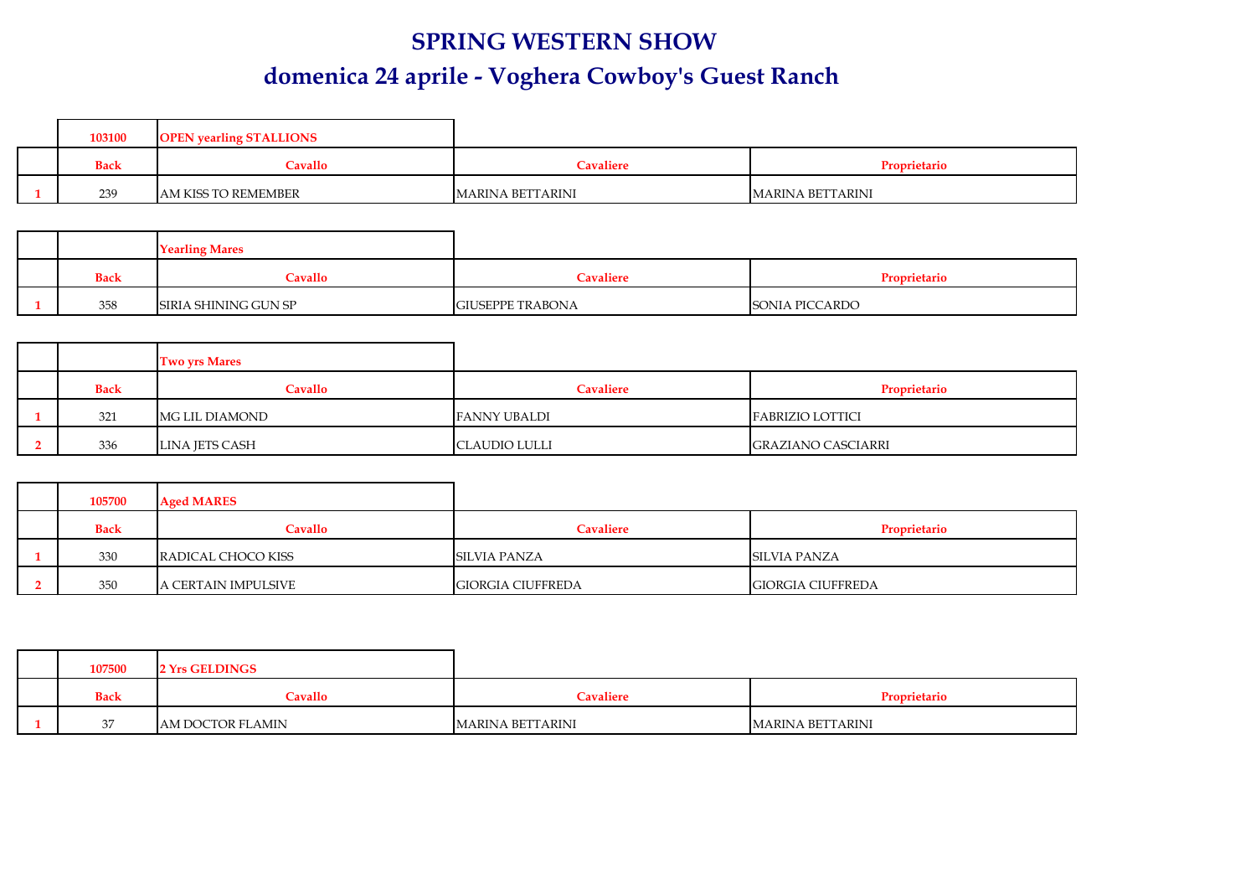## **SPRING WESTERN SHOW domenica 24 aprile - Voghera Cowboy's Guest Ranch**

|  | 103100      | <b>OPEN</b> vearling STALLIONS |                         |                         |
|--|-------------|--------------------------------|-------------------------|-------------------------|
|  | <b>Back</b> | Cavallo                        | <b>Cavaliere</b>        | Proprietario            |
|  | 239         | AM KISS TO REMEMBER            | <b>MARINA BETTARINI</b> | <b>MARINA BETTARINI</b> |

|             | <b>Yearling Mares</b> |                         |                |
|-------------|-----------------------|-------------------------|----------------|
| <b>Back</b> | Cavallo               | <b>Cavaliere</b>        | Proprietario   |
| 358         | SIRIA SHINING GUN SP  | <b>GIUSEPPE TRABONA</b> | SONIA PICCARDO |

|             | <b>Two yrs Mares</b> |                      |                           |
|-------------|----------------------|----------------------|---------------------------|
| <b>Back</b> | Cavallo              | <b>Cavaliere</b>     | Proprietario              |
| 321         | MG LIL DIAMOND       | <b>FANNY UBALDI</b>  | <b>FABRIZIO LOTTICI</b>   |
| 336         | LINA JETS CASH       | <b>CLAUDIO LULLI</b> | <b>GRAZIANO CASCIARRI</b> |

| 105700      | <b>Aged MARES</b>   |                          |                          |
|-------------|---------------------|--------------------------|--------------------------|
| <b>Back</b> | Cavallo             | Cavaliere                | Proprietario             |
| 330         | RADICAL CHOCO KISS  | SILVIA PANZA             | SILVIA PANZA             |
| 350         | A CERTAIN IMPULSIVE | <b>GIORGIA CIUFFREDA</b> | <b>GIORGIA CIUFFREDA</b> |

| 107500      | 2 Yrs GELDINGS   |                         |                  |
|-------------|------------------|-------------------------|------------------|
| <b>Back</b> | Cavallo          | Cavaliere               | Proprietario     |
| 37          | AM DOCTOR FLAMIN | <b>MARINA BETTARINI</b> | MARINA BETTARINI |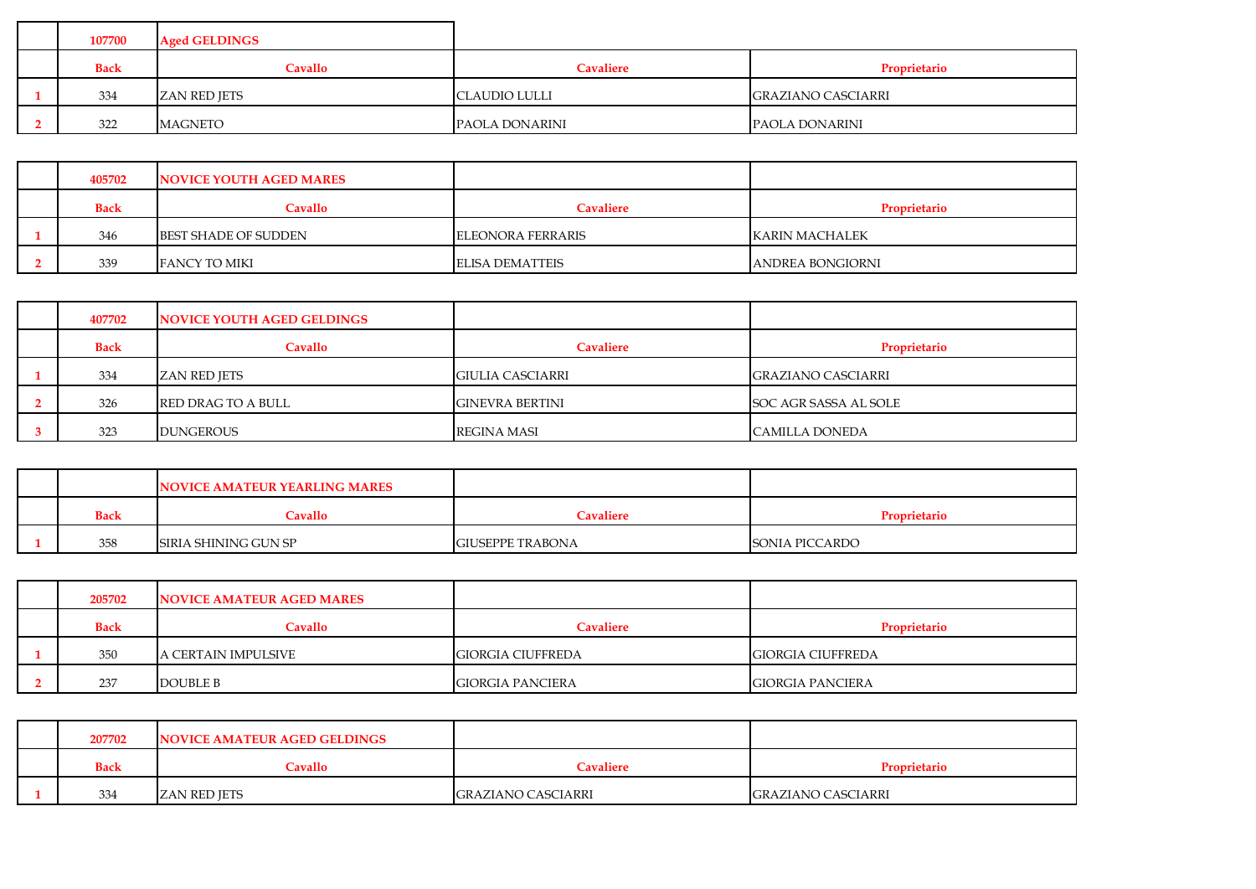| 107700      | <b>Aged GELDINGS</b> |                  |                           |
|-------------|----------------------|------------------|---------------------------|
| <b>Back</b> | <b>Cavallo</b>       | <b>Cavaliere</b> | Proprietario              |
| 334         | <b>ZAN RED JETS</b>  | CLAUDIO LULLI    | <b>GRAZIANO CASCIARRI</b> |
| 322         | <b>MAGNETO</b>       | PAOLA DONARINI   | PAOLA DONARINI            |

| 405702      | NOVICE YOUTH AGED MARES |                          |                          |
|-------------|-------------------------|--------------------------|--------------------------|
| <b>Back</b> | Cavallo                 | Cavaliere                | Proprietario             |
| 346         | BEST SHADE OF SUDDEN    | <b>ELEONORA FERRARIS</b> | KARIN MACHALEK           |
| 339         | FANCY TO MIKI           | <b>ELISA DEMATTEIS</b>   | <b>JANDREA BONGIORNI</b> |

| 407702      | NOVICE YOUTH AGED GELDINGS |                        |                           |
|-------------|----------------------------|------------------------|---------------------------|
| <b>Back</b> | Cavallo                    | <b>Cavaliere</b>       | Proprietario              |
| 334         | ZAN RED JETS               | GIULIA CASCIARRI       | <b>GRAZIANO CASCIARRI</b> |
| 326         | <b>RED DRAG TO A BULL</b>  | <b>GINEVRA BERTINI</b> | SOC AGR SASSA AL SOLE     |
| 323         | <b>DUNGEROUS</b>           | <b>REGINA MASI</b>     | <b>CAMILLA DONEDA</b>     |

|             | NOVICE AMATEUR YEARLING MARES |                         |                       |
|-------------|-------------------------------|-------------------------|-----------------------|
| <b>Back</b> | Cavallo                       | Cavaliere               | <b>Proprietario</b>   |
| 358         | SIRIA SHINING GUN SP          | <b>GIUSEPPE TRABONA</b> | <b>SONIA PICCARDO</b> |

| 205702      | <b>NOVICE AMATEUR AGED MARES</b> |                          |                          |
|-------------|----------------------------------|--------------------------|--------------------------|
| <b>Back</b> | Cavallo                          | Cavaliere                | Proprietario             |
| 350         | A CERTAIN IMPULSIVE              | <b>GIORGIA CIUFFREDA</b> | <b>GIORGIA CIUFFREDA</b> |
| 237         | <b>DOUBLE B</b>                  | <b>GIORGIA PANCIERA</b>  | <b>GIORGIA PANCIERA</b>  |

| 207702      | NOVICE AMATEUR AGED GELDINGS |                    |                           |
|-------------|------------------------------|--------------------|---------------------------|
| <b>Back</b> | Cavallo                      | <b>Cavaliere</b>   | Proprietario              |
| 334         | <b>ZAN RED JETS</b>          | GRAZIANO CASCIARRI | <b>GRAZIANO CASCIARRI</b> |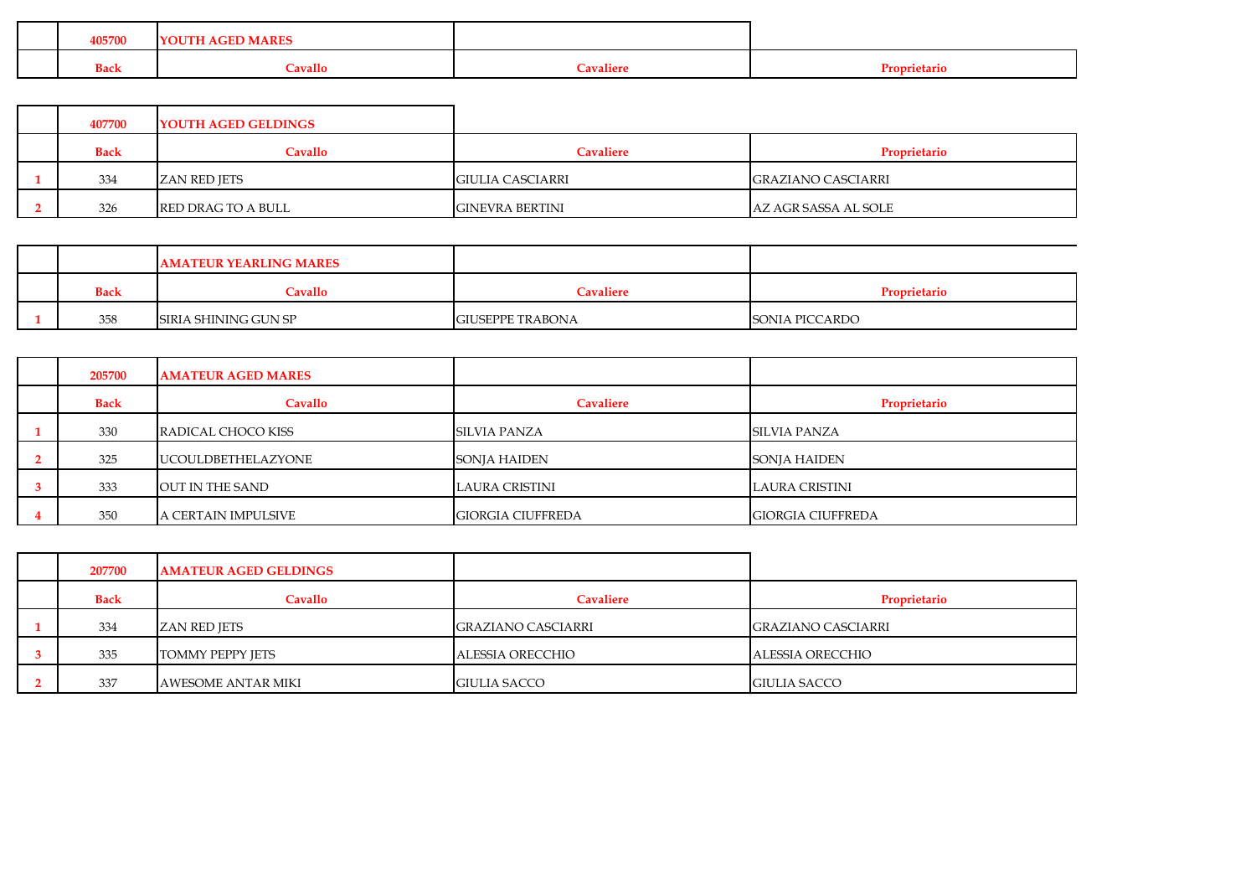| $\alpha$ vallo<br><b>Tavaliere</b><br><b>Back</b><br>Proprietary |  | 405700 | $\sim$ $\sim$<br>лтн<br>AIN D |  |
|------------------------------------------------------------------|--|--------|-------------------------------|--|
|                                                                  |  |        |                               |  |

| 407700      | <b>YOUTH AGED GELDINGS</b> |                         |                      |
|-------------|----------------------------|-------------------------|----------------------|
| <b>Back</b> | Cavallo                    | <b>Cavaliere</b>        | Proprietario         |
| 334         | <b>ZAN RED JETS</b>        | <b>GIULIA CASCIARRI</b> | GRAZIANO CASCIARRI   |
| 326         | RED DRAG TO A BULL         | <b>GINEVRA BERTINI</b>  | AZ AGR SASSA AL SOLE |

|             | <b>AMATEUR YEARLING MARES</b> |                         |                |
|-------------|-------------------------------|-------------------------|----------------|
| <b>Back</b> | Cavallo                       | <b>Cavaliere</b>        | Proprietario   |
| 358         | SIRIA SHINING GUN SP          | <b>GIUSEPPE TRABONA</b> | SONIA PICCARDO |

| 205700      | <b>AMATEUR AGED MARES</b> |                          |                          |
|-------------|---------------------------|--------------------------|--------------------------|
| <b>Back</b> | Cavallo                   | Cavaliere                | Proprietario             |
| 330         | RADICAL CHOCO KISS        | <b>SILVIA PANZA</b>      | <b>SILVIA PANZA</b>      |
| 325         | <b>UCOULDBETHELAZYONE</b> | <b>SONJA HAIDEN</b>      | <b>SONJA HAIDEN</b>      |
| 333         | OUT IN THE SAND           | LAURA CRISTINI           | LAURA CRISTINI           |
| 350         | A CERTAIN IMPULSIVE       | <b>GIORGIA CIUFFREDA</b> | <b>GIORGIA CIUFFREDA</b> |

| 207700      | <b>AMATEUR AGED GELDINGS</b> |                     |                           |
|-------------|------------------------------|---------------------|---------------------------|
| <b>Back</b> | Cavallo                      | <b>Cavaliere</b>    | Proprietario              |
| 334         | ZAN RED JETS                 | GRAZIANO CASCIARRI  | <b>GRAZIANO CASCIARRI</b> |
| 335         | <b>TOMMY PEPPY JETS</b>      | ALESSIA ORECCHIO    | ALESSIA ORECCHIO          |
| 337         | <b>AWESOME ANTAR MIKI</b>    | <b>GIULIA SACCO</b> | <b>GIULIA SACCO</b>       |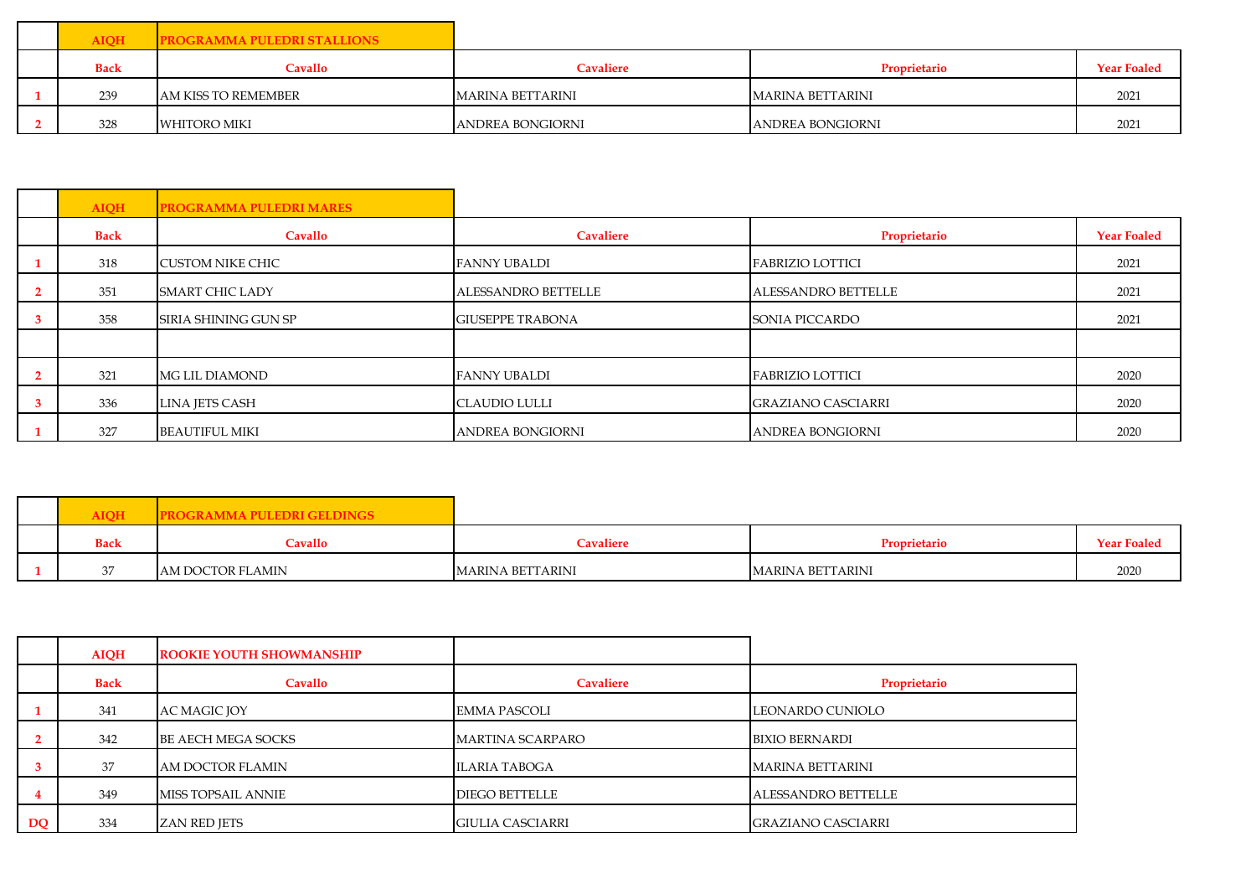| <b>AIOH</b> | <b>PROGRAMMA PULEDRI STALLIONS</b> |                         |                  |                    |
|-------------|------------------------------------|-------------------------|------------------|--------------------|
| <b>Back</b> | Cavallo                            | <b>Cavaliere</b>        | Proprietario     | <b>Year Foaled</b> |
| 239         | AM KISS TO REMEMBER                | <b>MARINA BETTARINI</b> | MARINA BETTARINI | 2021               |
| 328         | WHITORO MIKI                       | ANDREA BONGIORNI        | ANDREA BONGIORNI | 2021               |

|                | <b>AIQH</b> | <b>PROGRAMMA PULEDRI MARES</b> |                            |                            |                    |
|----------------|-------------|--------------------------------|----------------------------|----------------------------|--------------------|
|                | <b>Back</b> | Cavallo                        | Cavaliere                  | Proprietario               | <b>Year Foaled</b> |
|                | 318         | <b>CUSTOM NIKE CHIC</b>        | <b>FANNY UBALDI</b>        | <b>FABRIZIO LOTTICI</b>    | 2021               |
| $\overline{2}$ | 351         | <b>SMART CHIC LADY</b>         | <b>ALESSANDRO BETTELLE</b> | <b>ALESSANDRO BETTELLE</b> | 2021               |
| $\mathbf{3}$   | 358         | <b>SIRIA SHINING GUN SP</b>    | <b>GIUSEPPE TRABONA</b>    | SONIA PICCARDO             | 2021               |
|                |             |                                |                            |                            |                    |
| $\overline{2}$ | 321         | <b>MG LIL DIAMOND</b>          | <b>FANNY UBALDI</b>        | <b>FABRIZIO LOTTICI</b>    | 2020               |
| $\mathbf{3}$   | 336         | <b>LINA JETS CASH</b>          | <b>CLAUDIO LULLI</b>       | <b>GRAZIANO CASCIARRI</b>  | 2020               |
|                | 327         | <b>BEAUTIFUL MIKI</b>          | <b>ANDREA BONGIORNI</b>    | ANDREA BONGIORNI           | 2020               |

| <b>AIOH</b> | <b>PROGRAMMA PULEDRI GELDINGS</b> |                         |                         |                    |
|-------------|-----------------------------------|-------------------------|-------------------------|--------------------|
| <b>Back</b> | Cavallo                           | <b>Cavaliere</b>        | Proprietario            | <b>Year Foaled</b> |
|             | AM DOCTOR FLAMIN                  | <b>MARINA BETTARINI</b> | <b>MARINA BETTARINI</b> | 2020               |

|    | <b>AIQH</b> | <b>ROOKIE YOUTH SHOWMANSHIP</b> |                         |                           |
|----|-------------|---------------------------------|-------------------------|---------------------------|
|    | <b>Back</b> | Cavallo                         | <b>Cavaliere</b>        | Proprietario              |
|    | 341         | AC MAGIC JOY                    | <b>EMMA PASCOLI</b>     | LEONARDO CUNIOLO          |
|    | 342         | <b>BE AECH MEGA SOCKS</b>       | <b>MARTINA SCARPARO</b> | <b>BIXIO BERNARDI</b>     |
|    | 37          | AM DOCTOR FLAMIN                | <b>ILARIA TABOGA</b>    | MARINA BETTARINI          |
|    | 349         | <b>MISS TOPSAIL ANNIE</b>       | <b>DIEGO BETTELLE</b>   | ALESSANDRO BETTELLE       |
| DQ | 334         | ZAN RED JETS                    | GIULIA CASCIARRI        | <b>GRAZIANO CASCIARRI</b> |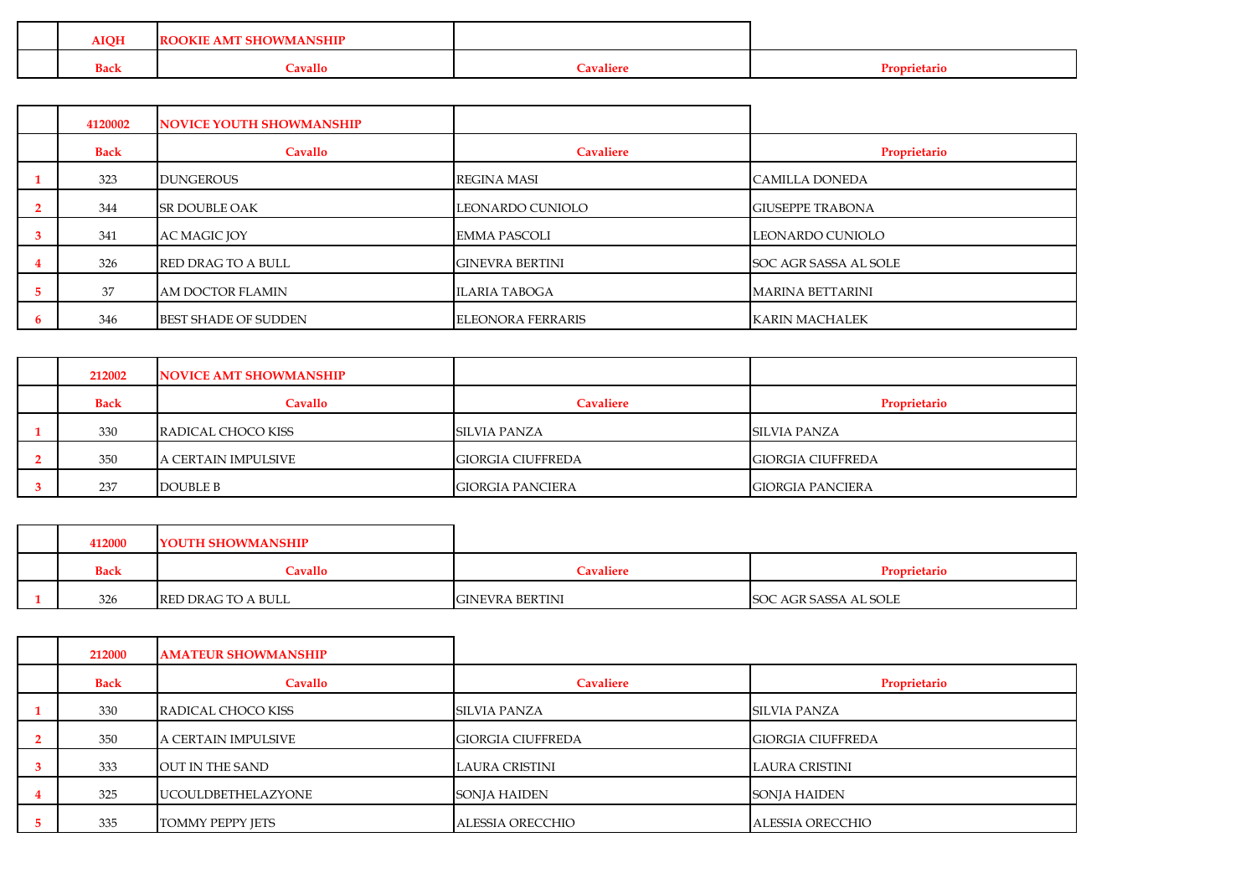| <b>AIQH</b> | <b>MOKIE</b><br>$\cdots$ $\cdots$ vid viving and $\cdots$<br>AMT |                |  |
|-------------|------------------------------------------------------------------|----------------|--|
| <b>Back</b> | <b>Cavallo</b>                                                   | $\cap$ valiere |  |

| 4120002     | <b>NOVICE YOUTH SHOWMANSHIP</b> |                          |                          |
|-------------|---------------------------------|--------------------------|--------------------------|
| <b>Back</b> | Cavallo                         | <b>Cavaliere</b>         | Proprietario             |
| 323         | <b>DUNGEROUS</b>                | <b>REGINA MASI</b>       | CAMILLA DONEDA           |
| 344         | <b>SR DOUBLE OAK</b>            | LEONARDO CUNIOLO         | <b>IGIUSEPPE TRABONA</b> |
| 341         | <b>AC MAGIC JOY</b>             | <b>EMMA PASCOLI</b>      | LEONARDO CUNIOLO         |
| 326         | <b>RED DRAG TO A BULL</b>       | <b>GINEVRA BERTINI</b>   | SOC AGR SASSA AL SOLE    |
| 37          | AM DOCTOR FLAMIN                | <b>ILARIA TABOGA</b>     | <b>MARINA BETTARINI</b>  |
| 346         | <b>BEST SHADE OF SUDDEN</b>     | <b>ELEONORA FERRARIS</b> | <b>KARIN MACHALEK</b>    |

| 212002      | NOVICE AMT SHOWMANSHIP |                          |                          |
|-------------|------------------------|--------------------------|--------------------------|
| <b>Back</b> | Cavallo                | <b>Cavaliere</b>         | Proprietario             |
| 330         | RADICAL CHOCO KISS     | SILVIA PANZA             | <b>SILVIA PANZA</b>      |
| 350         | A CERTAIN IMPULSIVE    | <b>GIORGIA CIUFFREDA</b> | <b>GIORGIA CIUFFREDA</b> |
| 237         | DOUBLE B               | <b>GIORGIA PANCIERA</b>  | <b>GIORGIA PANCIERA</b>  |

| 412000      | YOUTH SHOWMANSHIP  |                        |                       |
|-------------|--------------------|------------------------|-----------------------|
| <b>Back</b> | <b>Cavallo</b>     | <b>Cavaliere</b>       | Proprietario          |
| 326         | RED DRAG TO A BULL | <b>GINEVRA BERTINI</b> | SOC AGR SASSA AL SOLE |

| 212000      | <b>AMATEUR SHOWMANSHIP</b> |                          |                          |
|-------------|----------------------------|--------------------------|--------------------------|
| <b>Back</b> | Cavallo                    | Cavaliere                | Proprietario             |
| 330         | RADICAL CHOCO KISS         | <b>SILVIA PANZA</b>      | <b>SILVIA PANZA</b>      |
| 350         | A CERTAIN IMPULSIVE        | <b>GIORGIA CIUFFREDA</b> | <b>GIORGIA CIUFFREDA</b> |
| 333         | <b>OUT IN THE SAND</b>     | LAURA CRISTINI           | <b>LAURA CRISTINI</b>    |
| 325         | <b>UCOULDBETHELAZYONE</b>  | <b>SONJA HAIDEN</b>      | <b>SONJA HAIDEN</b>      |
| 335         | <b>TOMMY PEPPY JETS</b>    | ALESSIA ORECCHIO         | <b>ALESSIA ORECCHIO</b>  |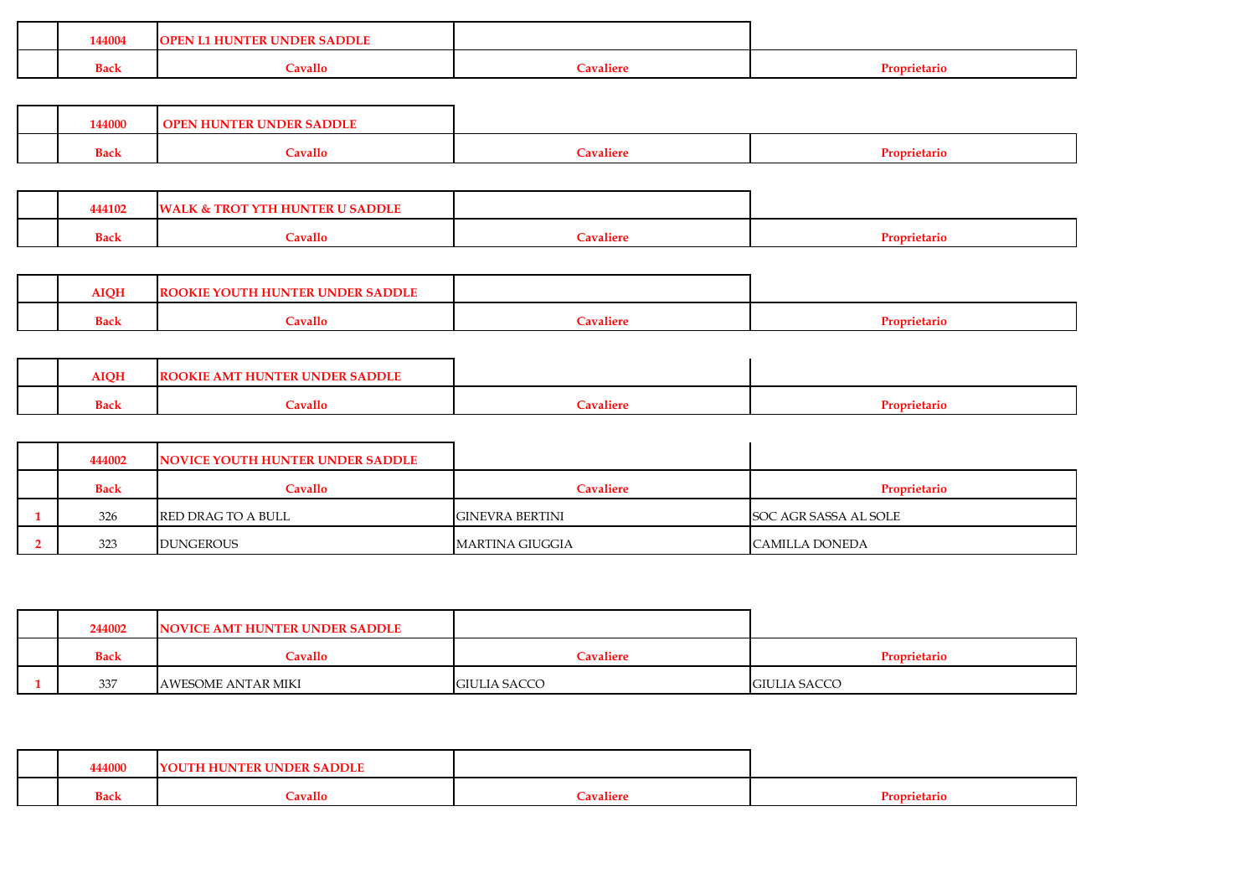|  | 144004      | <b>RUNDER SADDLE</b><br><b>OPEN L1</b><br><b>HUNTER</b> |                  |              |
|--|-------------|---------------------------------------------------------|------------------|--------------|
|  | <b>Back</b> | $\alpha$ vallo                                          | <b>Tavaliere</b> | Proprietario |
|  |             |                                                         |                  |              |

| 144000      | ліэнк у<br><b>IIN</b><br><b>HUNI</b> |                  |              |
|-------------|--------------------------------------|------------------|--------------|
| <b>Back</b> | <b>Tavallo</b>                       | <b>Tavaliere</b> | $\mathbf{m}$ |

| 444102      | ALK & TROT'<br><b>U SADDLE</b><br>' HUNTER |                                  |  |
|-------------|--------------------------------------------|----------------------------------|--|
| <b>Back</b> | <b>Tavallo</b>                             | $\mathbf{H}$<br>—<br>` 'avalier⊨ |  |

| <b>MOH</b>  | <b>AOKIE '</b><br><b>INDER</b><br>TH HUNTER<br>YOU<br>' SADDL. |           |
|-------------|----------------------------------------------------------------|-----------|
| <b>Back</b> | .<br>'avallo                                                   | prietario |

| <b>AIOH</b> | <b>! UNDER SADDLE</b><br><b>DOKIE</b><br>-IR |                   |  |
|-------------|----------------------------------------------|-------------------|--|
| <b>Back</b> | <b>Tavallo</b>                               | $\gamma$ avaliere |  |

| 444002      | NOVICE YOUTH HUNTER UNDER SADDLE |                        |                       |
|-------------|----------------------------------|------------------------|-----------------------|
| <b>Back</b> | Cavallo                          | <b>Cavaliere</b>       | Proprietario          |
| 326         | RED DRAG TO A BULL               | <b>GINEVRA BERTINI</b> | SOC AGR SASSA AL SOLE |
| 323         | <b>DUNGEROUS</b>                 | <b>MARTINA GIUGGIA</b> | <b>CAMILLA DONEDA</b> |

|  | 244002      | NOVICE AMT HUNTER UNDER SADDLE |                     |                     |
|--|-------------|--------------------------------|---------------------|---------------------|
|  | <b>Back</b> | Cavallo                        | Cavaliere           | Proprietario        |
|  | 337         | <b>AWESOME ANTAR MIKI</b>      | <b>GIULIA SACCO</b> | <b>GIULIA SACCO</b> |

| 444000      | <b>UNDER SADDLE</b><br>.OUTH HUN' |                       |              |
|-------------|-----------------------------------|-----------------------|--------------|
| <b>Back</b> | Cavallo                           | <b>Cavaliere</b><br>∽ | 'roprietaric |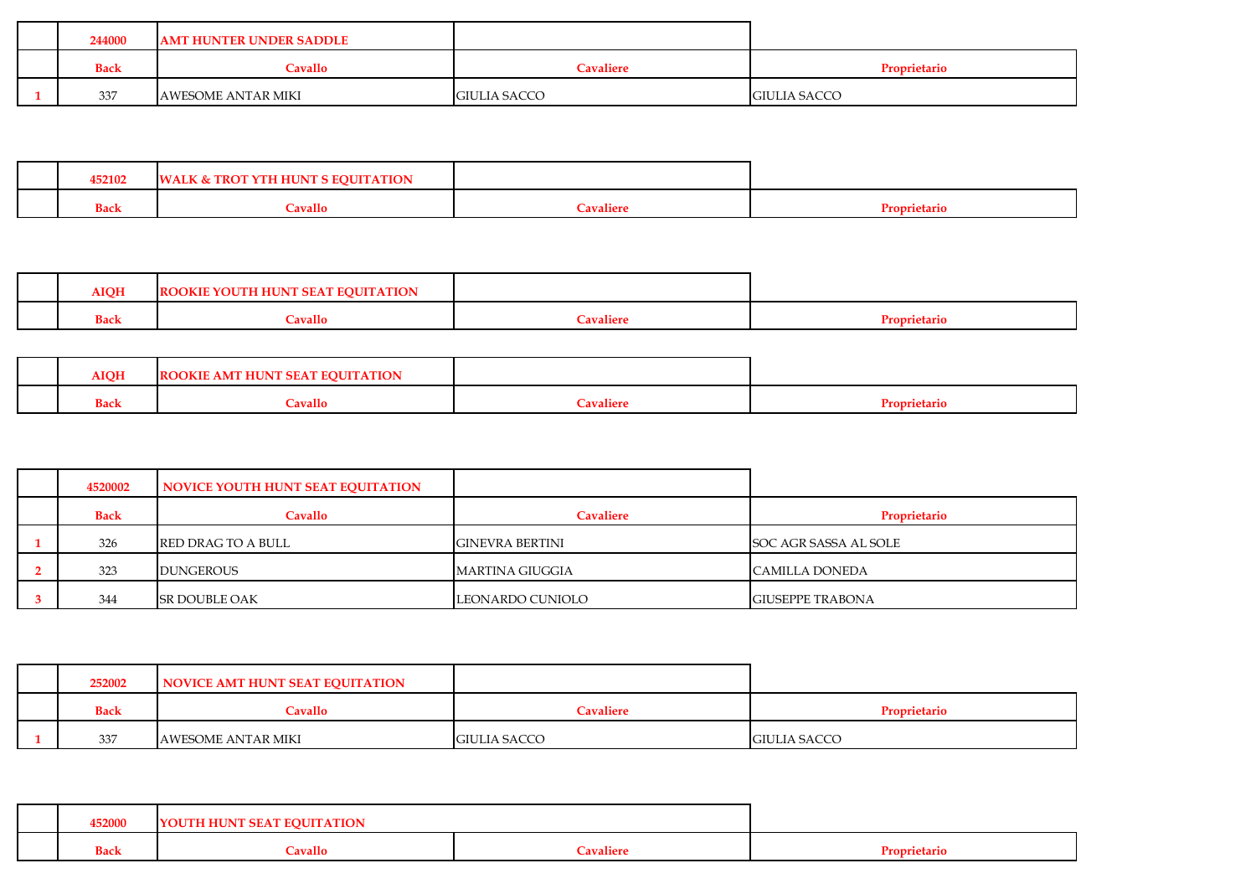| <b>Cavaliere</b><br>Proprietario<br><b>Cavallo</b><br><b>Back</b><br>337 | 244000 | <b>AMT HUNTER UNDER SADDLE</b> |                     |                     |
|--------------------------------------------------------------------------|--------|--------------------------------|---------------------|---------------------|
|                                                                          |        |                                |                     |                     |
|                                                                          |        | AWESOME ANTAR MIKI             | <b>GIULIA SACCO</b> | <b>GIULIA SACCO</b> |

| 452102      | <b>TION</b><br>IW.<br>ALK & TROT<br>HUN |                                       |  |
|-------------|-----------------------------------------|---------------------------------------|--|
| <b>Back</b> | <b>Cavallo</b>                          | `avaliere<br>$\overline{\phantom{0}}$ |  |

| <b>AIQH</b> | <b>SEAT EQUITATION</b><br>HU<br>OKIE<br>N |                                |  |
|-------------|-------------------------------------------|--------------------------------|--|
| <b>Back</b> | Cavallo                                   | <b><i><u>Cavaliere</u></i></b> |  |

| <b>AIQH</b> | <b>ATION</b><br><b>)OKIE</b><br>. AMT HUNT<br>-RO<br>------ |                       |              |
|-------------|-------------------------------------------------------------|-----------------------|--------------|
| <b>Back</b> | <b>Cavallo</b>                                              | `avalier <sub>`</sub> | Proprietario |

| 4520002     | NOVICE YOUTH HUNT SEAT EQUITATION |                        |                         |
|-------------|-----------------------------------|------------------------|-------------------------|
| <b>Back</b> | Cavallo                           | <b>Cavaliere</b>       | Proprietario            |
| 326         | <b>RED DRAG TO A BULL</b>         | <b>GINEVRA BERTINI</b> | SOC AGR SASSA AL SOLE   |
| 323         | <b>DUNGEROUS</b>                  | MARTINA GIUGGIA        | <b>CAMILLA DONEDA</b>   |
| 344         | <b>SR DOUBLE OAK</b>              | LEONARDO CUNIOLO       | <b>GIUSEPPE TRABONA</b> |

| 252002      | NOVICE AMT HUNT SEAT EQUITATION |                     |                     |
|-------------|---------------------------------|---------------------|---------------------|
| <b>Back</b> | Cavallo                         | Cavaliere           | Proprietario        |
| 337         | <b>AWESOME ANTAR MIKI</b>       | <b>GIULIA SACCO</b> | <b>GIULIA SACCO</b> |

| 452000      | <b>SEAT EQUITATION</b><br>TH HUNT<br>. . |                  |           |
|-------------|------------------------------------------|------------------|-----------|
| <b>Back</b> | $\alpha$ avallo                          | <b>Tavaliere</b> | prietario |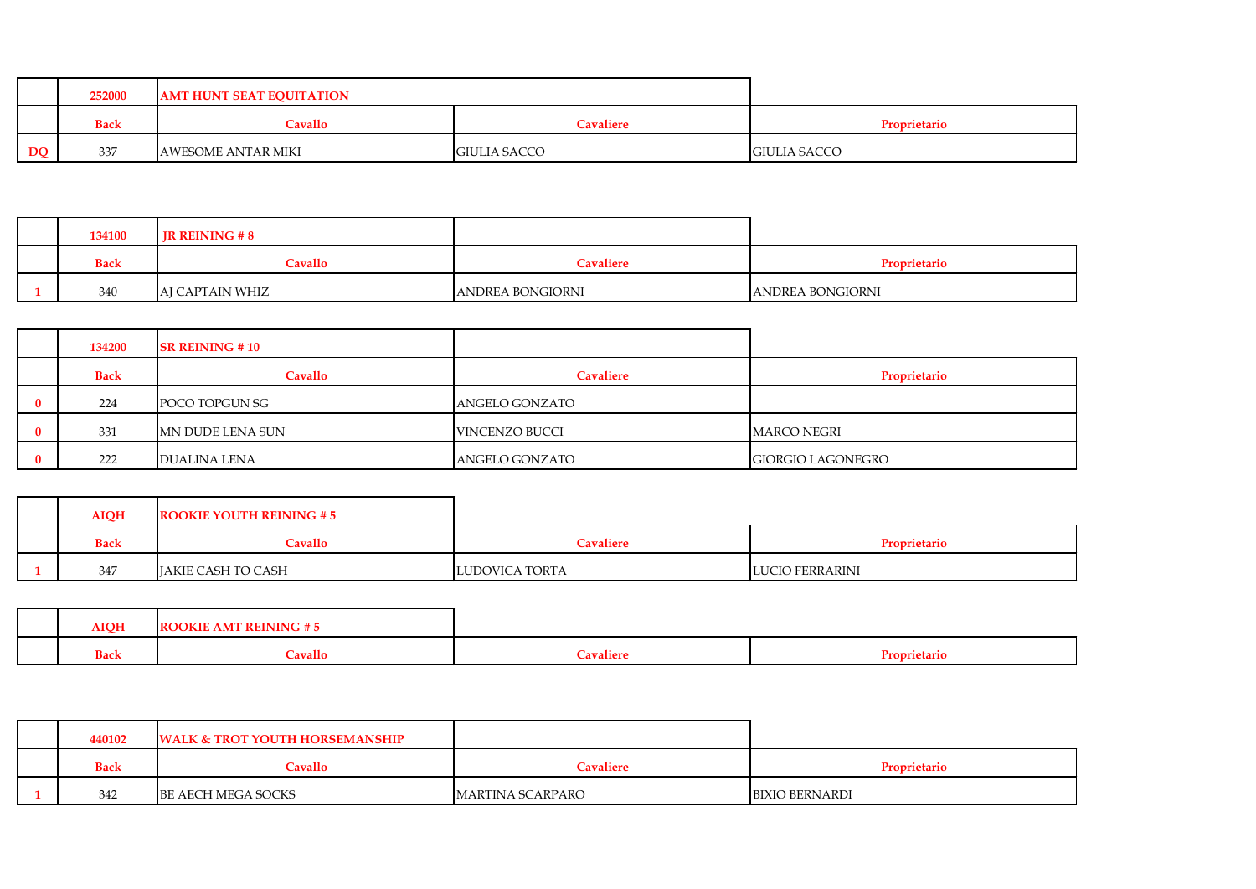|           | 252000      | <b>AMT HUNT SEAT EQUITATION</b> |                     |                     |
|-----------|-------------|---------------------------------|---------------------|---------------------|
|           | <b>Back</b> | Cavallo                         | Cavaliere           | <b>Proprietario</b> |
| <b>DQ</b> | 337         | AWESOME ANTAR MIKI              | <b>GIULIA SACCO</b> | <b>GIULIA SACCO</b> |

| 134100      | <b>IR REINING #8</b> |                  |                         |
|-------------|----------------------|------------------|-------------------------|
| <b>Back</b> | Cavallo              | Cavaliere        | Proprietario            |
| 340         | AJ CAPTAIN WHIZ      | ANDREA BONGIORNI | <b>ANDREA BONGIORNI</b> |

| 134200      | <b>SR REINING #10</b> |                |                          |
|-------------|-----------------------|----------------|--------------------------|
| <b>Back</b> | <b>Cavallo</b>        | Cavaliere      | Proprietario             |
| 224         | POCO TOPGUN SG        | ANGELO GONZATO |                          |
| 331         | MN DUDE LENA SUN      | VINCENZO BUCCI | <b>MARCO NEGRI</b>       |
| 222         | DUALINA LENA          | ANGELO GONZATO | <b>GIORGIO LAGONEGRO</b> |

| <b>AIQH</b> | <b>ROOKIE YOUTH REINING # 5</b> |                |                        |
|-------------|---------------------------------|----------------|------------------------|
| <b>Back</b> | Cavallo                         | Cavaliere      | <b>Proprietario</b>    |
| 347         | JAKIE CASH TO CASH              | LUDOVICA TORTA | <b>LUCIO FERRARINI</b> |

|  | <b>AIQH</b> | <b>E AMT REINING</b><br>OOKIE- |                  |                          |
|--|-------------|--------------------------------|------------------|--------------------------|
|  | <b>Back</b> | <b>Cavallo</b>                 | <b>Tavaliere</b> | <sup>D</sup> roprietario |

| 440102      | <b>WALK &amp; TROT YOUTH HORSEMANSHIP</b> |                  |                       |
|-------------|-------------------------------------------|------------------|-----------------------|
| <b>Back</b> | <b>Cavallo</b>                            | Cavaliere        | Proprietario          |
| 342         | BE AECH MEGA SOCKS                        | MARTINA SCARPARO | <b>BIXIO BERNARDI</b> |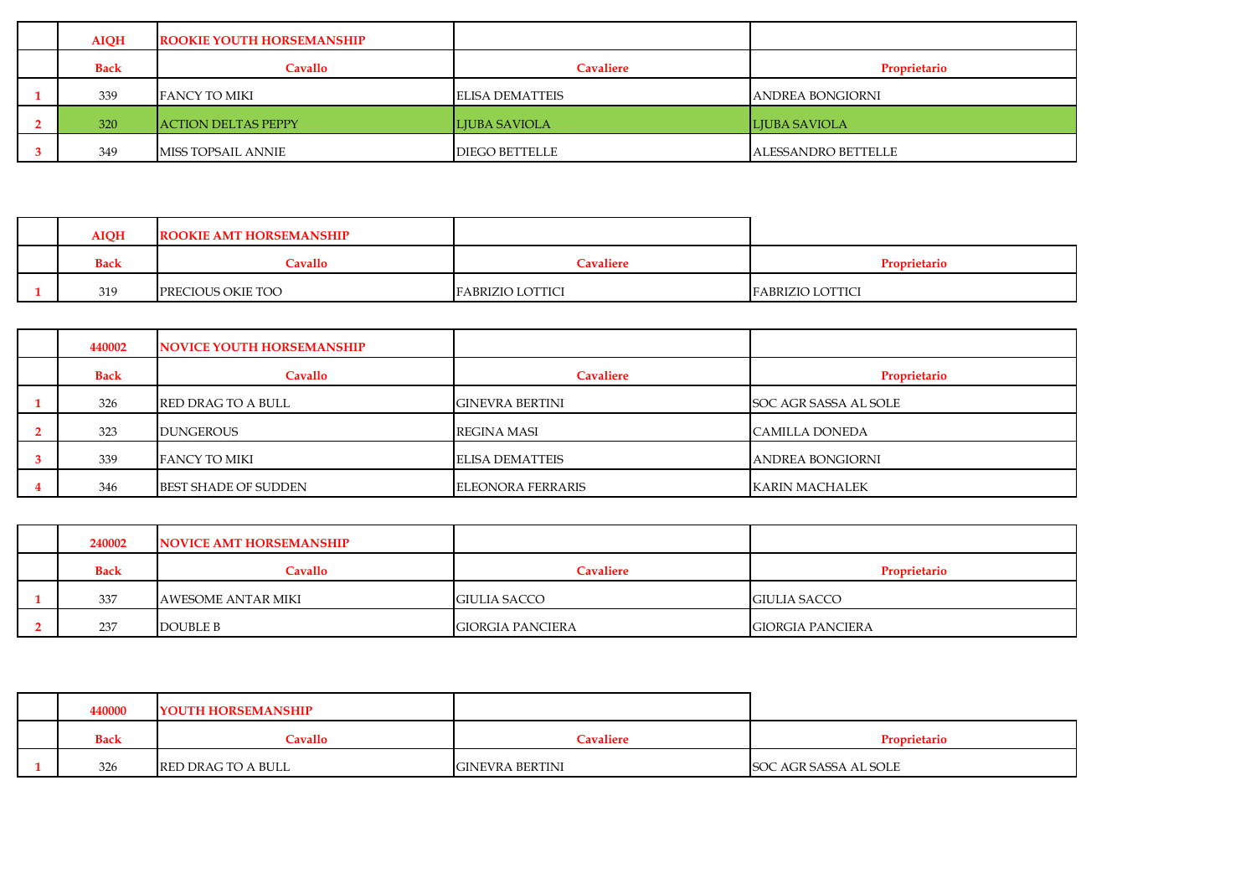| <b>AIQH</b> | <b>ROOKIE YOUTH HORSEMANSHIP</b> |                        |                            |
|-------------|----------------------------------|------------------------|----------------------------|
| <b>Back</b> | Cavallo                          | <b>Cavaliere</b>       | Proprietario               |
| 339         | FANCY TO MIKI                    | <b>ELISA DEMATTEIS</b> | <b>JANDREA BONGIORNI</b>   |
| 320         | <b>ACTION DELTAS PEPPY</b>       | <b>LJUBA SAVIOLA</b>   | LIUBA SAVIOLA              |
| 349         | MISS TOPSAIL ANNIE               | <b>DIEGO BETTELLE</b>  | <b>ALESSANDRO BETTELLE</b> |

| <b>AIQH</b> | <b>ROOKIE AMT HORSEMANSHIP</b> |                         |                         |
|-------------|--------------------------------|-------------------------|-------------------------|
| <b>Back</b> | Cavallo                        | <b>Cavaliere</b>        | Proprietario            |
| 319         | PRECIOUS OKIE TOO              | <b>FABRIZIO LOTTICI</b> | <b>FABRIZIO LOTTICI</b> |

| 440002      |         |                                                                                                                                   |                         |
|-------------|---------|-----------------------------------------------------------------------------------------------------------------------------------|-------------------------|
| <b>Back</b> | Cavallo | <b>Cavaliere</b>                                                                                                                  | Proprietario            |
| 326         |         | <b>GINEVRA BERTINI</b>                                                                                                            | SOC AGR SASSA AL SOLE   |
| 323         |         | <b>REGINA MASI</b>                                                                                                                | CAMILLA DONEDA          |
| 339         |         | <b>ELISA DEMATTEIS</b>                                                                                                            | <b>ANDREA BONGIORNI</b> |
| 346         |         | <b>ELEONORA FERRARIS</b>                                                                                                          | <b>KARIN MACHALEK</b>   |
|             |         | NOVICE YOUTH HORSEMANSHIP<br><b>RED DRAG TO A BULL</b><br><b>DUNGEROUS</b><br><b>FANCY TO MIKI</b><br><b>BEST SHADE OF SUDDEN</b> |                         |

| 240002      | NOVICE AMT HORSEMANSHIP |                         |                         |
|-------------|-------------------------|-------------------------|-------------------------|
| <b>Back</b> | <b>Cavallo</b>          | Cavaliere               | Proprietario            |
| 337         | AWESOME ANTAR MIKI      | <b>GIULIA SACCO</b>     | <b>GIULIA SACCO</b>     |
| 237         | DOUBLE B                | <b>GIORGIA PANCIERA</b> | <b>GIORGIA PANCIERA</b> |

| 440000      | <b>YOUTH HORSEMANSHIP</b> |                        |                       |
|-------------|---------------------------|------------------------|-----------------------|
| <b>Back</b> | Cavallo                   | Cavaliere              | Proprietario          |
| 326         | RED DRAG TO A BULL        | <b>GINEVRA BERTINI</b> | SOC AGR SASSA AL SOLE |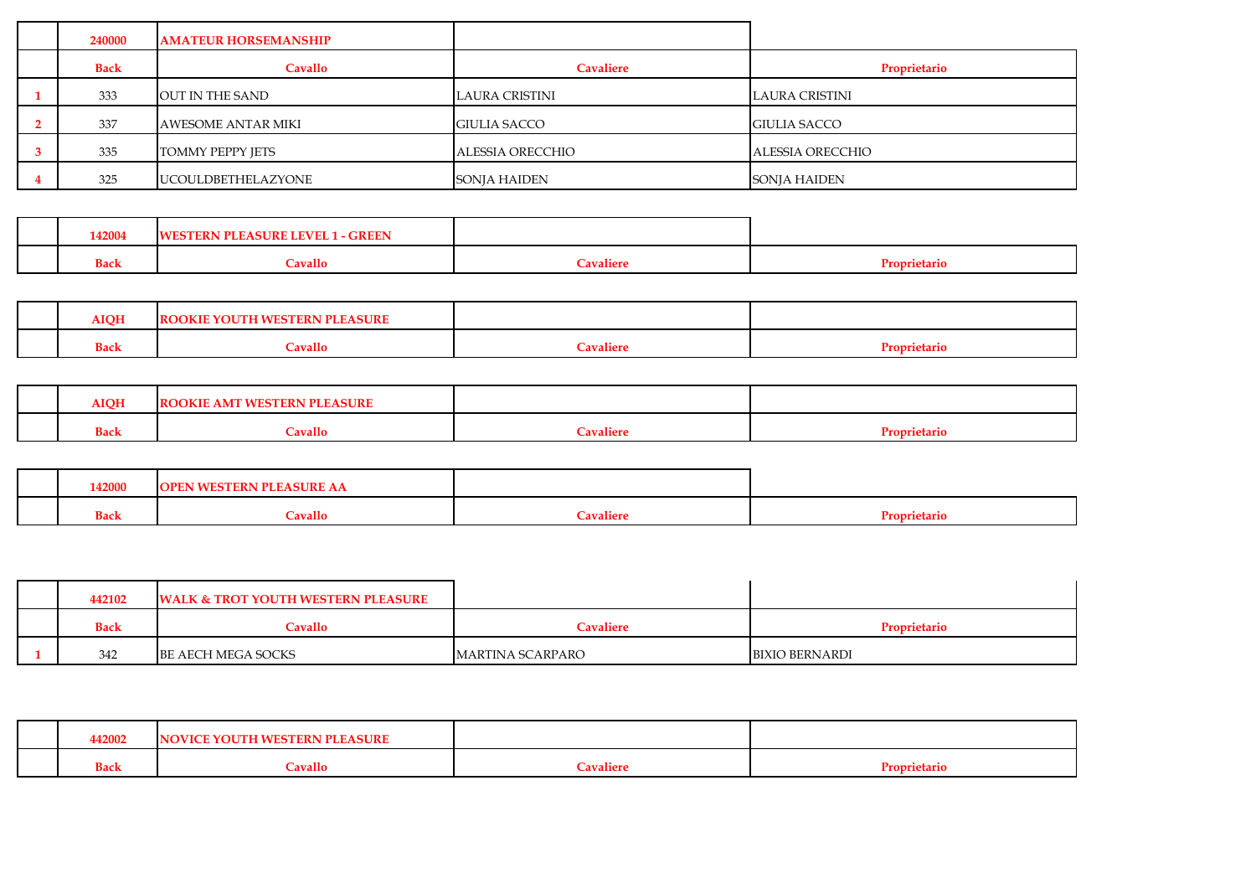| 240000      | <b>AMATEUR HORSEMANSHIP</b> |                       |                     |
|-------------|-----------------------------|-----------------------|---------------------|
| <b>Back</b> | <b>Cavallo</b>              | Cavaliere             | Proprietario        |
| 333         | OUT IN THE SAND             | <b>LAURA CRISTINI</b> | LAURA CRISTINI      |
| 337         | <b>AWESOME ANTAR MIKI</b>   | <b>GIULIA SACCO</b>   | <b>GIULIA SACCO</b> |
| 335         | <b>TOMMY PEPPY JETS</b>     | ALESSIA ORECCHIO      | ALESSIA ORECCHIO    |
| 325         | <b>UCOULDBETHELAZYONE</b>   | SONJA HAIDEN          | <b>SONJA HAIDEN</b> |

|  | 142004      | $1 - GREEN$<br><b>LEVEL</b><br>ASURE |           |  |
|--|-------------|--------------------------------------|-----------|--|
|  | <b>Back</b> | `avallo                              | `avaliere |  |

| <b>AIOH</b> | <b>EASURE</b><br><b>ROOK</b><br>тв |          |  |
|-------------|------------------------------------|----------|--|
| <b>Back</b> | $\alpha$ vallo                     | $\alpha$ |  |

| <b>AIOH</b> | лит<br>, , ,   |            |  |
|-------------|----------------|------------|--|
| <b>Back</b> | <b>Cavallo</b> | $'$ axzali |  |

| 42000 | .       |           |  |
|-------|---------|-----------|--|
| Bac.  | `avallo | $ n$ lian |  |

| 442102      | <b>WALK &amp; TROT YOUTH WESTERN PLEASURE</b> |                  |                       |
|-------------|-----------------------------------------------|------------------|-----------------------|
| <b>Back</b> | Cavallo                                       | Cavaliere        | Proprietario          |
| 342         | BE AECH MEGA SOCKS                            | MARTINA SCARPARO | <b>BIXIO BERNARDI</b> |

| 142002      | OVICE YOUTH WESTERN PLEASURE<br>'N. |                  |                               |
|-------------|-------------------------------------|------------------|-------------------------------|
| <b>Back</b> | Cavallo                             | <b>Tavaliere</b> | $\sim$<br><b>Proprietario</b> |